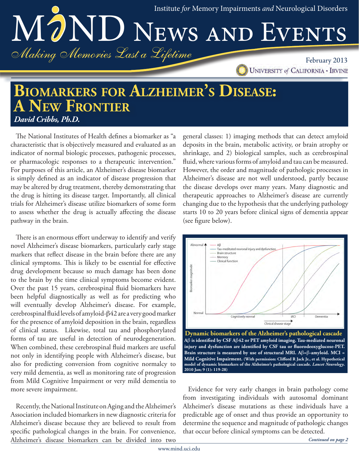Institute for Memory Impairments and Neurological Disorders MOND NEWS AND EVENTS Making Memories Last a Lifetime

February 2013 **UNIVERSITY of CALIFORNIA - IRVINE** 

# **BIOMARKERS FOR ALZHEIMER'S DISEASE: A NEW FRONTIER** David Cribbs, Ph.D.

The National Institutes of Health defines a biomarker as "a characteristic that is objectively measured and evaluated as an indicator of normal biologic processes, pathogenic processes, or pharmacologic responses to a therapeutic intervention." For purposes of this article, an Alzheimer's disease biomarker is simply defined as an indicator of disease progression that may be altered by drug treatment, thereby demonstrating that the drug is hitting its disease target. Importantly, all clinical trials for Alzheimer's disease utilize biomarkers of some form to assess whether the drug is actually affecting the disease pathway in the brain.

There is an enormous effort underway to identify and verify novel Alzheimer's disease biomarkers, particularly early stage markers that reflect disease in the brain before there are any clinical symptoms. This is likely to be essential for effective drug development because so much damage has been done to the brain by the time clinical symptoms become evident. Over the past 15 years, cerebrospinal fluid biomarkers have been helpful diagnostically as well as for predicting who will eventually develop Alzheimer's disease. For example, cerebrospinal fluid levels of amyloid- $\beta$ 42 are a very good marker for the presence of amyloid deposition in the brain, regardless of clinical status. Likewise, total tau and phosphorylated forms of tau are useful in detection of neurodegeneration. When combined, these cerebrospinal fluid markers are useful not only in identifying people with Alzheimer's disease, but also for predicting conversion from cognitive normalcy to very mild dementia, as well as monitoring rate of progression from Mild Cognitive Impairment or very mild dementia to more severe impairment.

Recently, the National Institute on Aging and the Alzheimer's Association included biomarkers in new diagnostic criteria for Alzheimer's disease because they are believed to result from specific pathological changes in the brain. For convenience, Alzheimer's disease biomarkers can be divided into two

general classes: 1) imaging methods that can detect amyloid deposits in the brain, metabolic activity, or brain atrophy or shrinkage, and 2) biological samples, such as cerebrospinal fluid, where various forms of amyloid and tau can be measured. However, the order and magnitude of pathologic processes in Alzheimer's disease are not well understood, partly because the disease develops over many years. Many diagnostic and therapeutic approaches to Alzheimer's disease are currently changing due to the hypothesis that the underlying pathology starts 10 to 20 years before clinical signs of dementia appear (see figure below).



Dynamic biomarkers of the Alzheimer's pathological cascade  $A\beta$  is identified by CSF A $\beta$ 42 or PET amyloid imaging. Tau-mediated neuronal injury and dysfunction are identified by CSF tau or fluorodeoxyglucose-PET. Brain structure is measured by use of structural MRI.  $A\beta = \beta$ -amyloid. MCI = Mild Cognitive Impairment. (With permission: Clifford R Jack Jr., et al. Hypothetical model of dynamic biomarkers of the Alzheimer's pathological cascade. Lancet Neurology. 2010 Jan; 9 (1): 119-28)

Evidence for very early changes in brain pathology come from investigating individuals with autosomal dominant Alzheimer's disease mutations as these individuals have a predictable age of onset and thus provide an opportunity to determine the sequence and magnitude of pathologic changes that occur before clinical symptoms can be detected.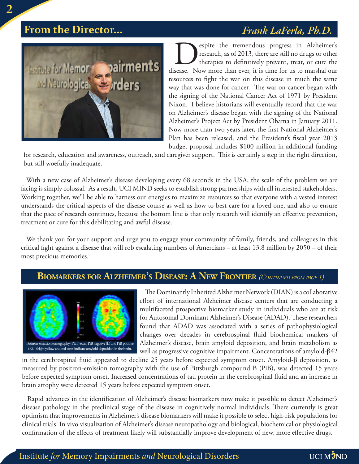## **From the Director...**

## Frank LaFerla, Ph.D.



espite the tremendous progress in Alzheimer's research, as of 2013, there are still no drugs or other therapies to definitively prevent, treat, or cure the disease. Now more than ever, it is time for us to marshal our resources to fight the war on this disease in much the same way that was done for cancer. The war on cancer began with the signing of the National Cancer Act of 1971 by President Nixon. I believe historians will eventually record that the war on Alzheimer's disease began with the signing of the National Alzheimer's Project Act by President Obama in January 2011. Now more than two years later, the first National Alzheimer's Plan has been released, and the President's fiscal year 2013 budget proposal includes \$100 million in additional funding

for research, education and awareness, outreach, and caregiver support. This is certainly a step in the right direction, but still woefully inadequate.

With a new case of Alzheimer's disease developing every 68 seconds in the USA, the scale of the problem we are facing is simply colossal. As a result, UCI MIND seeks to establish strong partnerships with all interested stakeholders. Working together, we'll be able to harness our energies to maximize resources so that everyone with a vested interest understands the critical aspects of the disease course as well as how to best care for a loved one, and also to ensure that the pace of research continues, because the bottom line is that only research will identify an effective prevention, treatment or cure for this debilitating and awful disease.

We thank you for your support and urge you to engage your community of family, friends, and colleagues in this critical fight against a disease that will rob escalating numbers of Amercians - at least 13.8 million by 2050 - of their most precious memories.

## **BIOMARKERS FOR ALZHEIMER'S DISEASE: A NEW FRONTIER** (CONTINUED FROM PAGE 1)



The Dominantly Inherited Alzheimer Network (DIAN) is a collaborative effort of international Alzheimer disease centers that are conducting a multifaceted prospective biomarker study in individuals who are at risk for Autosomal Dominant Alzheimer's Disease (ADAD). These researchers found that ADAD was associated with a series of pathophysiological changes over decades in cerebrospinal fluid biochemical markers of Alzheimer's disease, brain amyloid deposition, and brain metabolism as well as progressive cognitive impairment. Concentrations of amyloid- $\beta$ 42

in the cerebrospinal fluid appeared to decline 25 years before expected symptom onset. Amyloid- $\beta$  deposition, as measured by positron-emission tomography with the use of Pittsburgh compound B (PiB), was detected 15 years before expected symptom onset. Increased concentrations of tau protein in the cerebrospinal fluid and an increase in brain atrophy were detected 15 years before expected symptom onset.

Rapid advances in the identification of Alzheimer's disease biomarkers now make it possible to detect Alzheimer's disease pathology in the preclinical stage of the disease in cognitively normal individuals. There currently is great optimism that improvements in Alzheimer's disease biomarkers will make it possible to select high-risk populations for clinical trials. In vivo visualization of Alzheimer's disease neuropathology and biological, biochemical or physiological confirmation of the effects of treatment likely will substantially improve development of new, more effective drugs.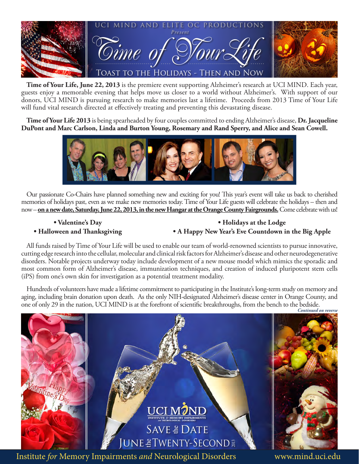

Time of Your Life, June 22, 2013 is the premiere event supporting Alzheimer's research at UCI MIND. Each year, guests enjoy a memorable evening that helps move us closer to a world without Alzheimer's. With support of our donors, UCI MIND is pursuing research to make memories last a lifetime. Proceeds from 2013 Time of Your Life will fund vital research directed at effectively treating and preventing this devastating disease.

Time of Your Life 2013 is being spearheaded by four couples committed to ending Alzheimer's disease, Dr. Jacqueline DuPont and Marc Carlson, Linda and Burton Young, Rosemary and Rand Sperry, and Alice and Sean Cowell.



Our passionate Co-Chairs have planned something new and exciting for you! This year's event will take us back to cherished memories of holidays past, even as we make new memories today. Time of Your Life guests will celebrate the holidays – then and now – on a new date, Saturday, June 22, 2013, in the new Hangar at the Orange County Fairgrounds. Come celebrate with us!

· Valentine's Day • Halloween and Thanksgiving

#### · Holidays at the Lodge • A Happy New Year's Eve Countdown in the Big Apple

All funds raised by Time of Your Life will be used to enable our team of world-renowned scientists to pursue innovative, cutting edge research into the cellular, molecular and clinical risk factors for Alzheimer's disease and other neurodegenerative disorders. Notable projects underway today include development of a new mouse model which mimics the sporadic and most common form of Alzheimer's disease, immunization techniques, and creation of induced pluripotent stem cells (iPS) from one's own skin for investigation as a potential treatment modality.

Hundreds of volunteers have made a lifetime commitment to participating in the Institute's long-term study on memory and aging, including brain donation upon death. As the only NIH-designated Alzheimer's disease center in Orange County, and one of only 29 in the nation, UCI MIND is at the forefront of scientific breakthroughs, from the bench to the bedside.

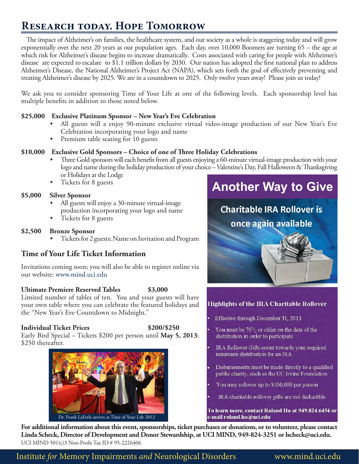## **RESEARCH TODAY. HOPE TOMORROW**

The impact of Alzheimer's on families, the healthcare system, and our society as a whole is staggering today and will grow exponentially over the next 20 years as our population ages. Each day, over 10,000 Boomers are turning 65 – the age at which risk for Alzheimer's disease begins to increase dramatically. Costs associated with caring for people with Alzheimer's disease are expected to escalate to \$1.1 trillion dollars by 2030. Our nation has adopted the first national plan to address Alzheimer's Disease, the National Alzheimer's Project Act (NAPA), which sets forth the goal of effectively preventing and treating Alzheimer's disease by 2025. We are in a countdown to 2025. Only twelve years away! Please join us today!

We ask you to consider sponsoring Time of Your Life at one of the following levels. Each sponsorship level has multiple benefits in addition to those noted below.

#### \$25,000 Exclusive Platinum Sponsor - New Year's Eve Celebration

- All guests will a enjoy 90-minute exclusive virtual video-image production of our New Year's Eve Celebration incorporating your logo and name
- Premium table seating for 10 guests

#### \$10,000 Exclusive Gold Sponsors – Choice of one of Three Holiday Celebrations

- Three Gold sponsors will each benefit from all guests enjoying a 60-minute virtual-image production with your logo and name during the holiday production of your choice - Valentine's Day, Fall Halloween & Thanksgiving or Holidays at the Lodge
- Tickets for 8 guests

#### \$5,000 **Silver Sponsor**

- All guests will enjoy a 30-minute virtual-image production incorporating your logo and name
- Tickets for 8 guests

#### \$2,500 **Bronze Sponsor**

Tickets for 2 guests; Name on Invitation and Program

#### **Time of Your Life Ticket Information**

Invitations coming soon; you will also be able to register online via our website: www.mind.uci.edu

#### **Ultimate Premiere Reserved Tables** \$3,000

Limited number of tables of ten. You and your guests will have your own table where you can celebrate the featured holidays and the "New Year's Eve Countdown to Midnight."

#### **Individual Ticket Prices**

\$200/\$250

Early Bird Special – Tickets \$200 per person until May 5, 2013; \$250 thereafter.



# **Another Way to Give**



#### **Highlights of the IRA Charitable Rollover**

Effective through December 31, 2013

You must be  $70\frac{1}{2}$  or older on the date of the distribution in order to participate

IRA Rollover Gifts count towards your required minimum distribution for an IRA

Disbursements must be made directly to a qualified public charity, such as the UC Irvine Foundation

You may rollover up to \$100,000 per person

IRA charitable rollover gifts are not deductible

To learn more, contact Roland Ho at 949.824.6454 or e-mail roland.ho@uci.edu

For additional information about this event, sponsorships, ticket purchases or donations, or to volunteer, please contact Linda Scheck, Director of Development and Donor Stewardship, at UCI MIND, 949-824-3251 or lscheck@uci.edu. UCI MIND 501(c)3 Non-Profit Tax ID # 95-2226406

Institute for Memory Impairments and Neurological Disorders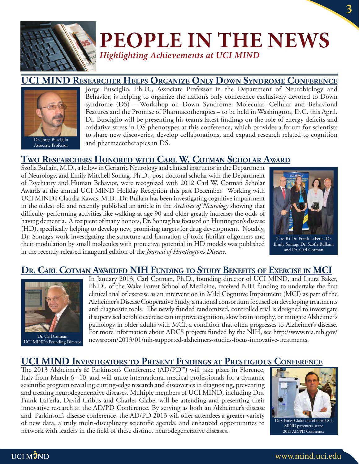

# **PEOPLE IN THE NEWS Highlighting Achievements at UCI MIND**

## **UCI MIND RESEARCHER HELPS ORGANIZE ONLY DOWN SYNDROME CONFERENCE**



Associate Professor

Jorge Busciglio, Ph.D., Associate Professor in the Department of Neurobiology and Behavior, is helping to organize the nation's only conference exclusively devoted to Down syndrome (DS) - Workshop on Down Syndrome: Molecular, Cellular and Behavioral Features and the Promise of Pharmacotherapies – to be held in Washington, D.C. this April. Dr. Busciglio will be presenting his team's latest findings on the role of energy deficits and oxidative stress in DS phenotypes at this conference, which provides a forum for scientists to share new discoveries, develop collaborations, and expand research related to cognition and pharmacotherapies in DS.

## **TWO RESEARCHERS HONORED WITH CARL W. COTMAN SCHOLAR AWARD**

Szofia Bullain, M.D., a fellow in Geriatric Neurology and clinical instructor in the Department of Neurology, and Emily Mitchell Sontag, Ph.D., post-doctoral scholar with the Department of Psychiatry and Human Behavior, were recognized with 2012 Carl W. Cotman Scholar Awards at the annual UCI MIND Holiday Reception this past December. Working with UCI MIND's Claudia Kawas, M.D., Dr. Bullain has been investigating cognitive impairment in the oldest old and recently published an article in the Archives of Neurology showing that difficulty performing activities like walking at age 90 and older greatly increases the odds of having dementia. A recipient of many honors, Dr. Sontag has focused on Huntington's disease (HD), specifically helping to develop new, promising targets for drug development. Notably, Dr. Sontag's work investigating the structure and formation of toxic fibrillar oligomers and their modulation by small molecules with protective potential in HD models was published in the recently released inaugural edition of the Journal of Huntington's Disease.



(L to R) Dr. Frank LaFerla, Dr. Emily Sontag, Dr. Szofia Bullain, and Dr. Carl Cotman

### DR. CARL COTMAN AWARDED NIH FUNDING TO STUDY BENEFITS OF EXERCISE IN MCI



Dr. Carl Cotman UCI MIND's Founding Director

In January 2013, Carl Cotman, Ph.D., founding director of UCI MIND, and Laura Baker, Ph.D., of the Wake Forest School of Medicine, received NIH funding to undertake the first clinical trial of exercise as an intervention in Mild Cognitive Impairment (MCI) as part of the Alzheimer's Disease Cooperative Study, a national consortium focused on developing treatments and diagnostic tools. The newly funded randomized, controlled trial is designed to investigate if supervised aerobic exercise can improve cognition, slow brain atrophy, or mitigate Alzheimer's pathology in older adults with MCI, a condition that often progresses to Alzheimer's disease. For more information about ADCS projects funded by the NIH, see http://www.nia.nih.gov/ newsroom/2013/01/nih-supported-alzheimers-studies-focus-innovative-treatments.

#### UCI MIND INVESTIGATORS TO PRESENT FINDINGS AT PRESTIGIOUS CONFERENCE

The 2013 Alzheimer's & Parkinson's Conference (AD/PD<sup>™</sup>) will take place in Florence, Italy from March 6 - 10, and will unite international medical professionals for a dynamic scientific program revealing cutting-edge research and discoveries in diagnosing, preventing and treating neurodegenerative diseases. Multiple members of UCI MIND, including Drs. Frank LaFerla, David Cribbs and Charles Glabe, will be attending and presenting their innovative research at the AD/PD Conference. By serving as both an Alzheimer's disease and Parkinson's disease conference, the AD/PD 2013 will offer attendees a greater variety of new data, a truly multi-disciplinary scientific agenda, and enhanced opportunities to network with leaders in the field of these distinct neurodegenerative diseases.



Dr. Charles Glabe, one of three UCI MIND presenters at the 2013 AD/PD Conference